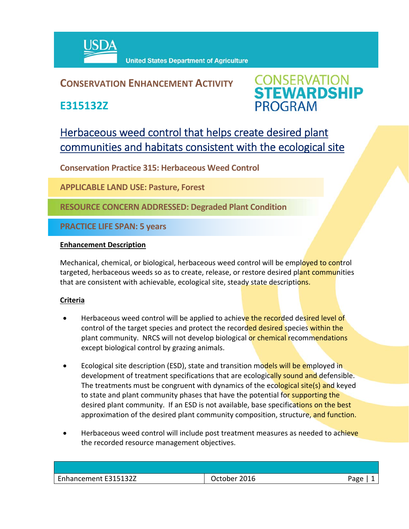

## **CONSERVATION ENHANCEMENT ACTIVITY**

**E315132Z**



# Herbaceous weed control that helps create desired plant communities and habitats consistent with the ecological site

**Conservation Practice 315: Herbaceous Weed Control** 

**APPLICABLE LAND USE: Pasture, Forest**

**RESOURCE CONCERN ADDRESSED: Degraded Plant Condition**

**PRACTICE LIFE SPAN: 5 years**

#### **Enhancement Description**

Mechanical, chemical, or biological, herbaceous weed control will be employed to control targeted, herbaceous weeds so as to create, release, or restore desired plant communities that are consistent with achievable, ecological site, steady state descriptions.

### **Criteria**

- Herbaceous weed control will be applied to achieve the recorded desired level of control of the target species and protect the recorded desired species within the plant community. NRCS will not develop biological or chemical recommendations except biological control by grazing animals.
- Ecological site description (ESD), state and transition models will be employed in development of treatment specifications that are ecologically sound and defensible. The treatments must be congruent with dynamics of the ecological site(s) and keyed to state and plant community phases that have the potential for supporting the desired plant community. If an ESD is not available, base specifications on the best approximation of the desired plant community composition, structure, and function.
- Herbaceous weed control will include post treatment measures as needed to achieve the recorded resource management objectives.

| Enhancement E315132Z | 2016<br>October | Aמגנ |
|----------------------|-----------------|------|